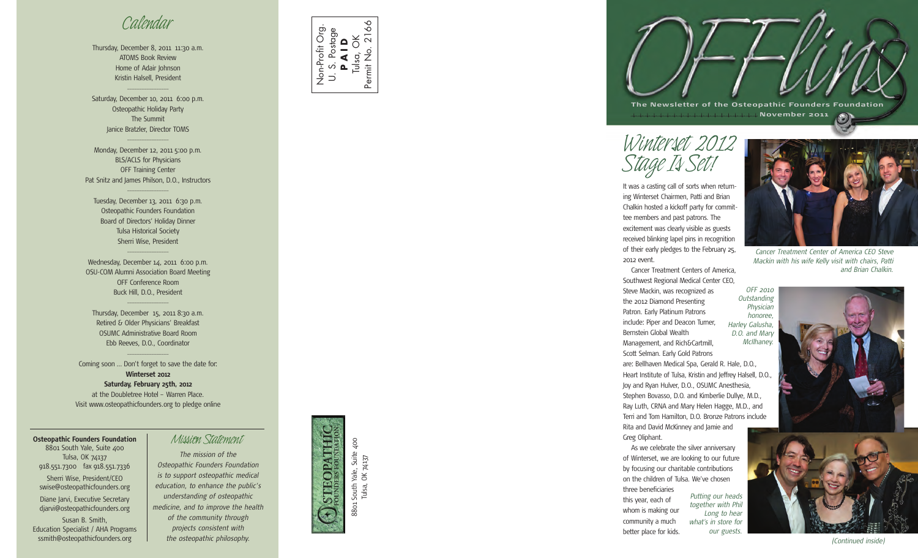## *Calendar*

Thursday, December 8, 2011 11:30 a.m. ATOMS Book Review Home of Adair Johnson Kristin Halsell, President

 $\overline{\phantom{a}}$  , where  $\overline{\phantom{a}}$ 

Saturday, December 10, 2011 6:00 p.m. Osteopathic Holiday Party The Summit Janice Bratzler, Director TOMS

Monday, December 12, 2011 5:00 p.m. BLS/ACLS for Physicians OFF Training Center Pat Snitz and James Philson, D.O., Instructors

 $\overline{\phantom{a}}$  , where  $\overline{\phantom{a}}$ 

 $\overline{\phantom{a}}$  ,  $\overline{\phantom{a}}$  ,  $\overline{\phantom{a}}$  ,  $\overline{\phantom{a}}$  ,  $\overline{\phantom{a}}$ 

Tuesday, December 13, 2011 6:30 p.m. Osteopathic Founders Foundation Board of Directors' Holiday Dinner Tulsa Historical Society Sherri Wise, President

Wednesday, December 14, 2011 6:00 p.m. OSU-COM Alumni Association Board Meeting OFF Conference Room Buck Hill, D.O., President  $\overline{\phantom{a}}$  , where  $\overline{\phantom{a}}$ 

 $\overline{\phantom{a}}$  ,  $\overline{\phantom{a}}$  ,  $\overline{\phantom{a}}$  ,  $\overline{\phantom{a}}$  ,  $\overline{\phantom{a}}$ 

Thursday, December 15, 2011 8:30 a.m. Retired & Older Physicians' Breakfast OSUMC Administrative Board Room Ebb Reeves, D.O., Coordinator

 $\overline{\phantom{a}}$  , where  $\overline{\phantom{a}}$ 

Coming soon … Don't forget to save the date for: **Winterset 2012 Saturday, February 25th, 2012** at the Doubletree Hotel – Warren Place. Visit www.osteopathicfounders.org to pledge online

**Osteopathic Founders Foundation Mission Statement** 8801 South Yale, Suite 400 Tulsa, OK 74137 918.551.7300 fax 918.551.7336 Sherri Wise, President/CEO swise@osteopathicfounders.org Diane Jarvi, Executive Secretary djarvi@osteopathicfounders.org Susan B. Smith, Education Specialist / AHA Programs ssmith@osteopathicfounders.org



*The mission of the Osteopathic Founders Foundation is to support osteopathic medical education, to enhance the public's understanding of osteopathic medicine, and to improve the health of the community through projects consistent with*

*the osteopathic philosophy.*



# TEOPATHI 8801 South Yale, Suite 400 South<sup>'</sup> 8801

i Yale, Suite 400<br>, OK 74137 Tulsa, OK 74137 Tulsa,

**The Newsletter of the Osteopathic Founders Foundation November 2 0 11** O)

*Winterset 2012 Stage Is Set!*

It was a casting call of sorts when returning Winterset Chairmen, Patti and Brian Chalkin hosted a kickoff party for committee members and past patrons. The excitement was clearly visible as guests received blinking lapel pins in recognition of their early pledges to the February 25, 2012 event.

Cancer Treatment Centers of America, Southwest Regional Medical Center CEO, Steve Mackin, was recognized as the 2012 Diamond Presenting Patron. Early Platinum Patrons include: Piper and Deacon Turner, Bernstein Global Wealth Management, and Rich&Cartmill, Scott Selman. Early Gold Patrons are: Bellhaven Medical Spa, Gerald R. Hale, D.O., Heart Institute of Tulsa, Kristin and Jeffrey Halsell, D.O., Joy and Ryan Hulver, D.O., OSUMC Anesthesia, Stephen Bovasso, D.O. and Kimberlie Dullye, M.D., Ray Luth, CRNA and Mary Helen Hagge, M.D., and Terri and Tom Hamilton, D.O. Bronze Patrons include Rita and David McKinney and Jamie and Greg Oliphant. *Outstanding Harley Galusha, D.O. and Mary McIlhaney.*

As we celebrate the silver anniversary of Winterset, we are looking to our future by focusing our charitable contributions on the children of Tulsa. We've chosen three beneficiaries

this year, each of whom is making our community a much better place for kids. *Putting our heads together with Phil Long to hear what's in store for our guests.*



*Cancer Treatment Center of America CEO Steve Mackin with his wife Kelly visit with chairs, Patti and Brian Chalkin.*

*OFF 2010 Physician honoree,*



*(Continued inside)*